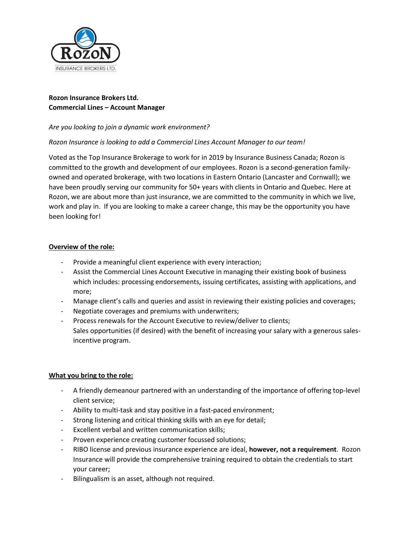

# **Rozon Insurance Brokers Ltd. Commercial Lines – Account Manager**

## *Are you looking to join a dynamic work environment?*

## *Rozon Insurance is looking to add a Commercial Lines Account Manager to our team!*

Voted as the Top Insurance Brokerage to work for in 2019 by Insurance Business Canada; Rozon is committed to the growth and development of our employees. Rozon is a second-generation familyowned and operated brokerage, with two locations in Eastern Ontario (Lancaster and Cornwall); we have been proudly serving our community for 50+ years with clients in Ontario and Quebec. Here at Rozon, we are about more than just insurance, we are committed to the community in which we live, work and play in. If you are looking to make a career change, this may be the opportunity you have been looking for!

#### **Overview of the role:**

- Provide a meaningful client experience with every interaction;
- Assist the Commercial Lines Account Executive in managing their existing book of business which includes: processing endorsements, issuing certificates, assisting with applications, and more;
- Manage client's calls and queries and assist in reviewing their existing policies and coverages;
- Negotiate coverages and premiums with underwriters;
- Process renewals for the Account Executive to review/deliver to clients; Sales opportunities (if desired) with the benefit of increasing your salary with a generous salesincentive program.

#### **What you bring to the role:**

- A friendly demeanour partnered with an understanding of the importance of offering top-level client service;
- Ability to multi-task and stay positive in a fast-paced environment;
- Strong listening and critical thinking skills with an eye for detail;
- Excellent verbal and written communication skills;
- Proven experience creating customer focussed solutions;
- RIBO license and previous insurance experience are ideal, **however, not a requirement**. Rozon Insurance will provide the comprehensive training required to obtain the credentials to start your career;
- Bilingualism is an asset, although not required.